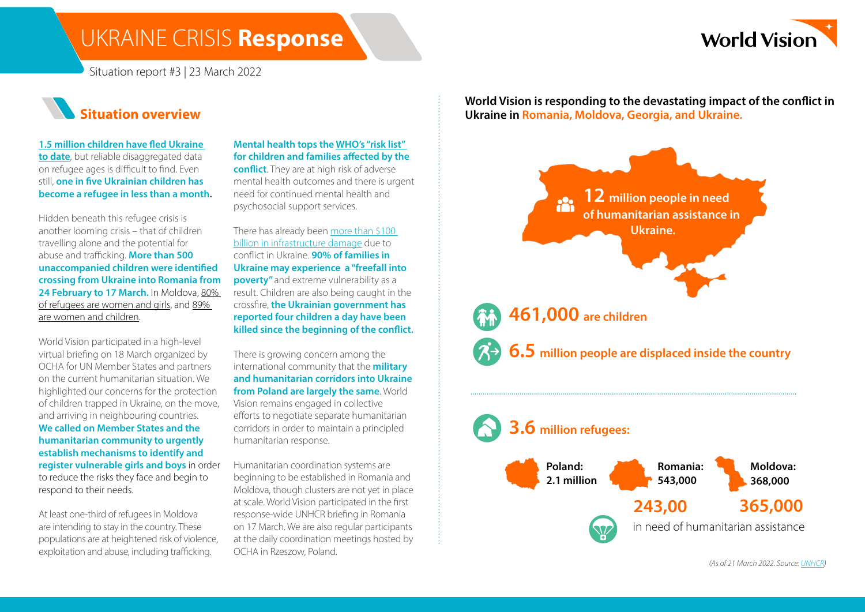### UKRAINE CRISIS **Response**



Situation report #3 | 23 March 2022



**[1.5 million children have fled Ukraine](https://reliefweb.int/report/ukraine/particularly-shocking-every-single-minute-55-children-have-fled-their-country)  [to date](https://reliefweb.int/report/ukraine/particularly-shocking-every-single-minute-55-children-have-fled-their-country)**, but reliable disaggregated data on refugee ages is difficult to find. Even still, **one in five Ukrainian children has become a refugee in less than a month.**

Hidden beneath this refugee crisis is another looming crisis – that of children travelling alone and the potential for abuse and trafficking. **More than 500 unaccompanied children were identified crossing from Ukraine into Romania from**  24 February to 17 March. In Moldova, 80% [of refugees are women and girls,](http://•%091.5%20million%20children%20have%20fled%20the%20country%20(More%20than%20500%20unaccompanied%20children%20were%20identified%20crossing%20from%20Ukraine%20into%20Romania%20from%2024%20February%20to%2017%20March%20(UNICEF)) and [89%](http://•%091.5%20million%20children%20have%20fled%20the%20country%20(More%20than%20500%20unaccompanied%20children%20were%20identified%20crossing%20from%20Ukraine%20into%20Romania%20from%2024%20February%20to%2017%20March%20(UNICEF))  [are women and children](http://•%091.5%20million%20children%20have%20fled%20the%20country%20(More%20than%20500%20unaccompanied%20children%20were%20identified%20crossing%20from%20Ukraine%20into%20Romania%20from%2024%20February%20to%2017%20March%20(UNICEF)).

World Vision participated in a high-level virtual briefing on 18 March organized by OCHA for UN Member States and partners on the current humanitarian situation. We highlighted our concerns for the protection of children trapped in Ukraine, on the move, and arriving in neighbouring countries. **We called on Member States and the humanitarian community to urgently establish mechanisms to identify and register vulnerable girls and boys** in order to reduce the risks they face and begin to respond to their needs.

At least one-third of refugees in Moldova are intending to stay in the country. These populations are at heightened risk of violence, exploitation and abuse, including trafficking.

**Mental health tops the [WHO's "risk list"](https://teams.microsoft.com/l/message/19:yjwLWt2nUe44AE6nUR64jDTYLL0L2VJP0lHA0QKoWn81@thread.tacv2/1647522056394?tenantId=b951e030-af38-40d7-bd0b-fbed3c87653a&groupId=8f960386-fcc4-4eba-b494-cd4852a09af4&parentMessageId=1647522056394&teamName=Ukraine%20Crisis%20Response&channelName=General&createdTime=1647522056394)  for children and families affected by the conflict**. They are at high risk of adverse

mental health outcomes and there is urgent need for continued mental health and psychosocial support services.

There has already been [more than \\$100](https://news.un.org/en/story/2022/03/1114022)  [billion in infrastructure damage](https://news.un.org/en/story/2022/03/1114022) due to conflict in Ukraine. **90% of families in Ukraine may experience a "freefall into poverty"** and extreme vulnerability as a result. Children are also being caught in the crossfire, **the Ukrainian government has reported four children a day have been killed since the beginning of the conflict.**

There is growing concern among the international community that the **military and humanitarian corridors into Ukraine from Poland are largely the same**. World Vision remains engaged in collective efforts to negotiate separate humanitarian corridors in order to maintain a principled humanitarian response.

Humanitarian coordination systems are beginning to be established in Romania and Moldova, though clusters are not yet in place at scale. World Vision participated in the first response-wide UNHCR briefing in Romania on 17 March. We are also regular participants at the daily coordination meetings hosted by OCHA in Rzeszow, Poland.

**World Vision is responding to the devastating impact of the conflict in Ukraine in Romania, Moldova, Georgia, and Ukraine.**



*(As of 21 March 2022. Source: [UNHCR](https://data2.unhcr.org/en/situations/ukraine))*

in need of humanitarian assistance

**243,00 365,000**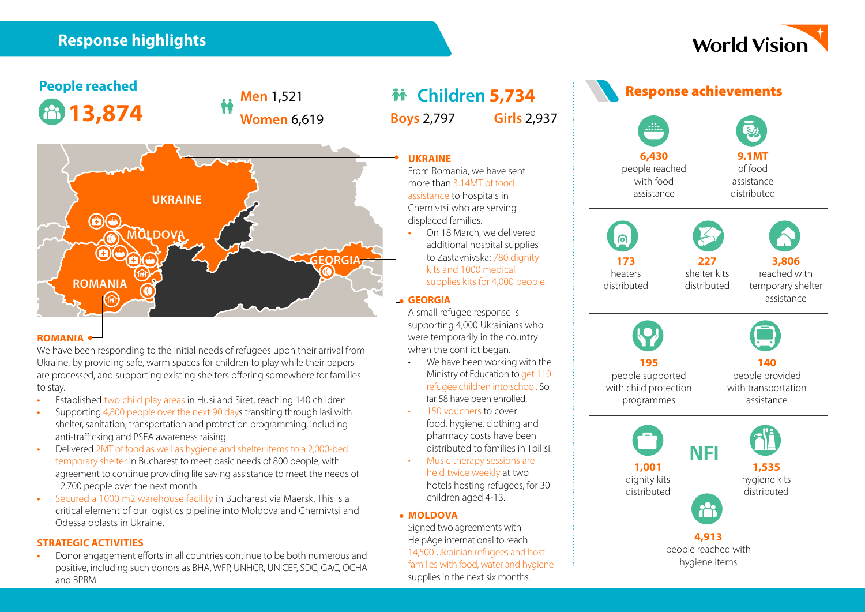### **Response highlights**

## **World Vision**